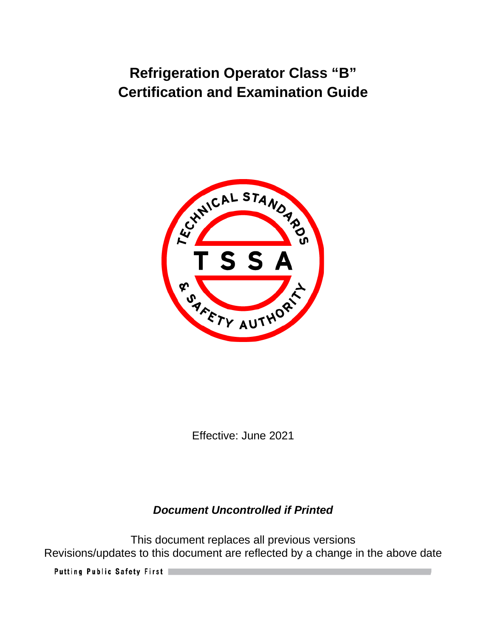

Effective: June 2021

# *Document Uncontrolled if Printed*

This document replaces all previous versions Revisions/updates to this document are reflected by a change in the above date

Putting Public Safety First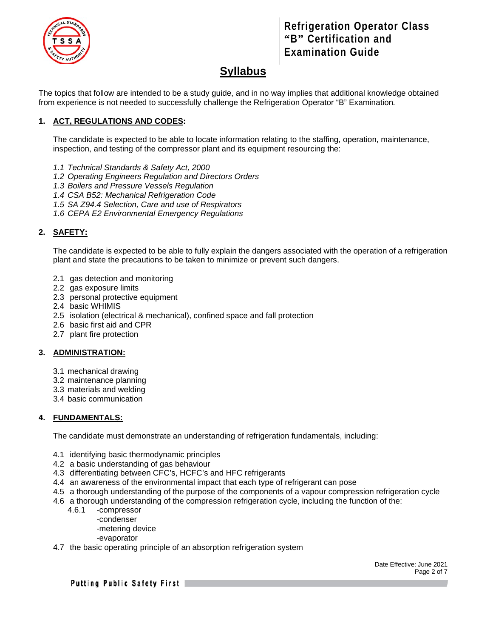

# **Syllabus**

The topics that follow are intended to be a study guide, and in no way implies that additional knowledge obtained from experience is not needed to successfully challenge the Refrigeration Operator "B" Examination*.*

### **1. ACT, REGULATIONS AND CODES:**

The candidate is expected to be able to locate information relating to the staffing, operation, maintenance, inspection, and testing of the compressor plant and its equipment resourcing the:

- *1.1 Technical Standards & Safety Act, 2000*
- *1.2 Operating Engineers Regulation and Directors Orders*
- *1.3 Boilers and Pressure Vessels Regulation*
- *1.4 CSA B52: Mechanical Refrigeration Code*
- *1.5 SA Z94.4 Selection, Care and use of Respirators*
- *1.6 CEPA E2 Environmental Emergency Regulations*

### **2. SAFETY:**

The candidate is expected to be able to fully explain the dangers associated with the operation of a refrigeration plant and state the precautions to be taken to minimize or prevent such dangers.

- 2.1 gas detection and monitoring
- 2.2 gas exposure limits
- 2.3 personal protective equipment
- 2.4 basic WHIMIS
- 2.5 isolation (electrical & mechanical), confined space and fall protection
- 2.6 basic first aid and CPR
- 2.7 plant fire protection

#### **3. ADMINISTRATION:**

- 3.1 mechanical drawing
- 3.2 maintenance planning
- 3.3 materials and welding
- 3.4 basic communication

#### **4. FUNDAMENTALS:**

The candidate must demonstrate an understanding of refrigeration fundamentals, including:

- 4.1 identifying basic thermodynamic principles
- 4.2 a basic understanding of gas behaviour
- 4.3 differentiating between CFC's, HCFC's and HFC refrigerants
- 4.4 an awareness of the environmental impact that each type of refrigerant can pose
- 4.5 a thorough understanding of the purpose of the components of a vapour compression refrigeration cycle
- 4.6 a thorough understanding of the compression refrigeration cycle, including the function of the:
	- 4.6.1 -compressor
		- -condenser

-metering device

- -evaporator
- 4.7 the basic operating principle of an absorption refrigeration system

Date Effective: June 2021 Page 2 of 7

Putting Public Safety First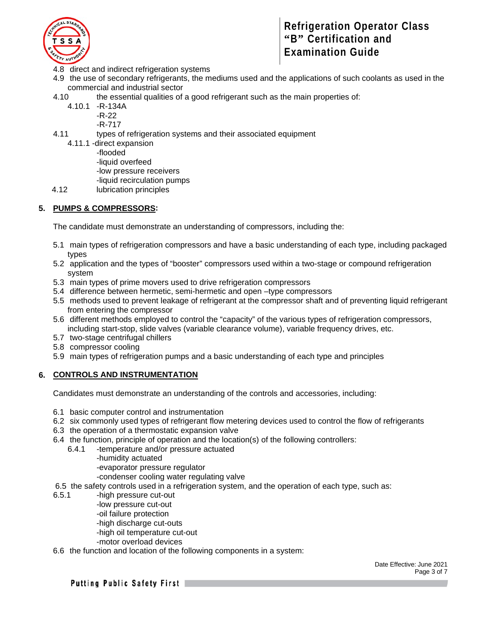

- 4.8 direct and indirect refrigeration systems
- 4.9 the use of secondary refrigerants, the mediums used and the applications of such coolants as used in the commercial and industrial sector
- 4.10 the essential qualities of a good refrigerant such as the main properties of:
	- 4.10.1 -R-134A
		- -R-22
			- -R-717
- 4.11 types of refrigeration systems and their associated equipment
	- 4.11.1 -direct expansion
		- -flooded
			- -liquid overfeed
			- -low pressure receivers
			- -liquid recirculation pumps
- 4.12 lubrication principles

### **5. PUMPS & COMPRESSORS:**

The candidate must demonstrate an understanding of compressors, including the:

- 5.1 main types of refrigeration compressors and have a basic understanding of each type, including packaged types
- 5.2 application and the types of "booster" compressors used within a two-stage or compound refrigeration system
- 5.3 main types of prime movers used to drive refrigeration compressors
- 5.4 difference between hermetic, semi-hermetic and open –type compressors
- 5.5 methods used to prevent leakage of refrigerant at the compressor shaft and of preventing liquid refrigerant from entering the compressor
- 5.6 different methods employed to control the "capacity" of the various types of refrigeration compressors, including start-stop, slide valves (variable clearance volume), variable frequency drives, etc.
- 5.7 two-stage centrifugal chillers
- 5.8 compressor cooling
- 5.9 main types of refrigeration pumps and a basic understanding of each type and principles

#### **6. CONTROLS AND INSTRUMENTATION**

Candidates must demonstrate an understanding of the controls and accessories, including:

- 6.1 basic computer control and instrumentation
- 6.2 six commonly used types of refrigerant flow metering devices used to control the flow of refrigerants
- 6.3 the operation of a thermostatic expansion valve
- 6.4 the function, principle of operation and the location(s) of the following controllers:
	- 6.4.1 -temperature and/or pressure actuated
		- -humidity actuated
			- -evaporator pressure regulator
		- -condenser cooling water regulating valve
- 6.5 the safety controls used in a refrigeration system, and the operation of each type, such as:
- 6.5.1 -high pressure cut-out
	- -low pressure cut-out
	- -oil failure protection
	- -high discharge cut-outs
	- -high oil temperature cut-out
	- -motor overload devices
- 6.6 the function and location of the following components in a system:

Date Effective: June 2021 Page 3 of 7

Putting Public Safety First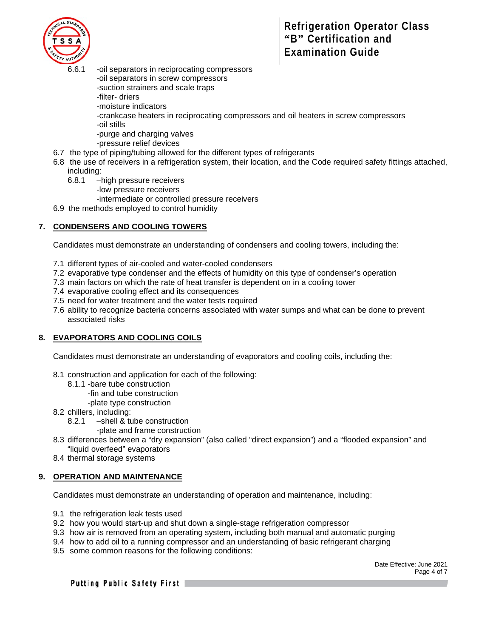

- 6.6.1 -oil separators in reciprocating compressors -oil separators in screw compressors -suction strainers and scale traps -filter- driers -moisture indicators -crankcase heaters in reciprocating compressors and oil heaters in screw compressors -oil stills -purge and charging valves -pressure relief devices
- 6.7 the type of piping/tubing allowed for the different types of refrigerants
- 6.8 the use of receivers in a refrigeration system, their location, and the Code required safety fittings attached, including:
	- 6.8.1 –high pressure receivers
		- -low pressure receivers
			- -intermediate or controlled pressure receivers
- 6.9 the methods employed to control humidity

#### **7. CONDENSERS AND COOLING TOWERS**

Candidates must demonstrate an understanding of condensers and cooling towers, including the:

- 7.1 different types of air-cooled and water-cooled condensers
- 7.2 evaporative type condenser and the effects of humidity on this type of condenser's operation
- 7.3 main factors on which the rate of heat transfer is dependent on in a cooling tower
- 7.4 evaporative cooling effect and its consequences
- 7.5 need for water treatment and the water tests required
- 7.6 ability to recognize bacteria concerns associated with water sumps and what can be done to prevent associated risks

#### **8. EVAPORATORS AND COOLING COILS**

Candidates must demonstrate an understanding of evaporators and cooling coils, including the:

- 8.1 construction and application for each of the following:
	- 8.1.1 -bare tube construction
		- -fin and tube construction
		- -plate type construction
- 8.2 chillers, including:
	- 8.2.1 –shell & tube construction
		- -plate and frame construction
- 8.3 differences between a "dry expansion" (also called "direct expansion") and a "flooded expansion" and "liquid overfeed" evaporators
- 8.4 thermal storage systems

#### **9. OPERATION AND MAINTENANCE**

Candidates must demonstrate an understanding of operation and maintenance, including:

- 9.1 the refrigeration leak tests used
- 9.2 how you would start-up and shut down a single-stage refrigeration compressor
- 9.3 how air is removed from an operating system, including both manual and automatic purging
- 9.4 how to add oil to a running compressor and an understanding of basic refrigerant charging
- 9.5 some common reasons for the following conditions:

Date Effective: June 2021 Page 4 of 7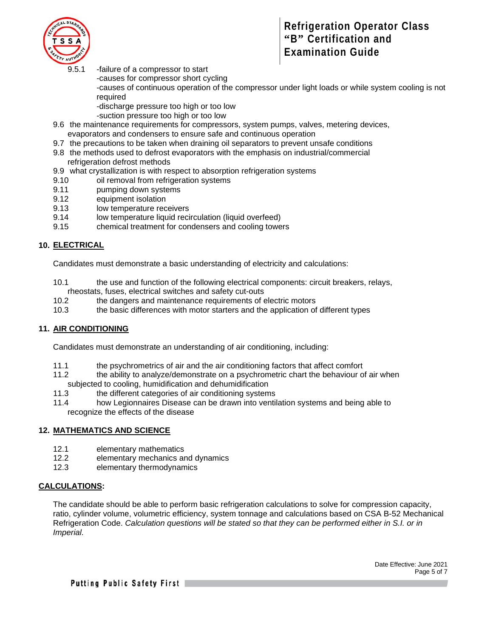

- 9.5.1 -failure of a compressor to start
	- -causes for compressor short cycling

-causes of continuous operation of the compressor under light loads or while system cooling is not required

-discharge pressure too high or too low

- -suction pressure too high or too low
- 9.6 the maintenance requirements for compressors, system pumps, valves, metering devices, evaporators and condensers to ensure safe and continuous operation
- 9.7 the precautions to be taken when draining oil separators to prevent unsafe conditions
- 9.8 the methods used to defrost evaporators with the emphasis on industrial/commercial
- refrigeration defrost methods
- 9.9 what crystallization is with respect to absorption refrigeration systems
- 9.10 oil removal from refrigeration systems
- 9.11 pumping down systems
- 9.12 equipment isolation
- 9.13 low temperature receivers
- 9.14 low temperature liquid recirculation (liquid overfeed)
- 9.15 chemical treatment for condensers and cooling towers

### **10. ELECTRICAL**

Candidates must demonstrate a basic understanding of electricity and calculations:

- 10.1 the use and function of the following electrical components: circuit breakers, relays, rheostats, fuses, electrical switches and safety cut-outs<br>10.2 the dangers and maintenance requirements of a
- the dangers and maintenance requirements of electric motors
- 10.3 the basic differences with motor starters and the application of different types

### **11. AIR CONDITIONING**

Candidates must demonstrate an understanding of air conditioning, including:

- 11.1 the psychrometrics of air and the air conditioning factors that affect comfort
- 11.2 the ability to analyze/demonstrate on a psychrometric chart the behaviour of air when subjected to cooling, humidification and dehumidification
- 11.3 the different categories of air conditioning systems
- 11.4 how Legionnaires Disease can be drawn into ventilation systems and being able to recognize the effects of the disease

### **12. MATHEMATICS AND SCIENCE**

- 12.1 elementary mathematics
- 12.2 elementary mechanics and dynamics
- 12.3 elementary thermodynamics

### **CALCULATIONS:**

The candidate should be able to perform basic refrigeration calculations to solve for compression capacity, ratio, cylinder volume, volumetric efficiency, system tonnage and calculations based on CSA B-52 Mechanical Refrigeration Code. *Calculation questions will be stated so that they can be performed either in S.I. or in Imperial.*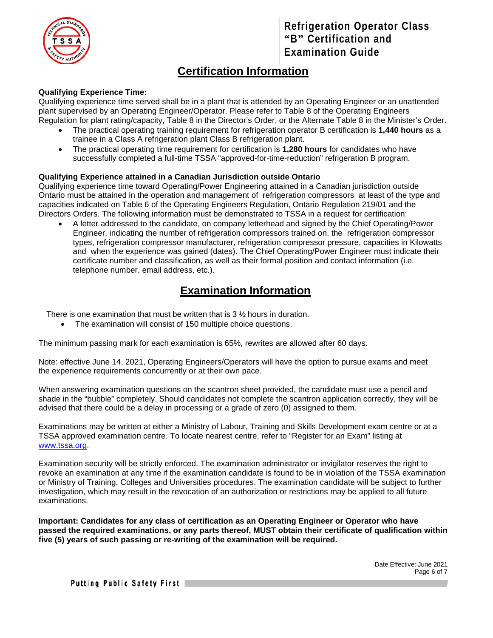

# **Certification Information**

### **Qualifying Experience Time:**

Qualifying experience time served shall be in a plant that is attended by an Operating Engineer or an unattended plant supervised by an Operating Engineer/Operator. Please refer to Table 8 of the Operating Engineers Regulation for plant rating/capacity, Table 8 in the Director's Order, or the Alternate Table 8 in the Minister's Order.

- The practical operating training requirement for refrigeration operator B certification is **1,440 hours** as a trainee in a Class A refrigeration plant Class B refrigeration plant.
- The practical operating time requirement for certification is **1,280 hours** for candidates who have successfully completed a full-time TSSA "approved-for-time-reduction" refrigeration B program.

#### **Qualifying Experience attained in a Canadian Jurisdiction outside Ontario**

Qualifying experience time toward Operating/Power Engineering attained in a Canadian jurisdiction outside Ontario must be attained in the operation and management of refrigeration compressors at least of the type and capacities indicated on Table 6 of the Operating Engineers Regulation, Ontario Regulation 219/01 and the Directors Orders. The following information must be demonstrated to TSSA in a request for certification:

• A letter addressed to the candidate, on company letterhead and signed by the Chief Operating/Power Engineer, indicating the number of refrigeration compressors trained on, the refrigeration compressor types, refrigeration compressor manufacturer, refrigeration compressor pressure, capacities in Kilowatts and when the experience was gained (dates). The Chief Operating/Power Engineer must indicate their certificate number and classification, as well as their formal position and contact information (i.e. telephone number, email address, etc.).

# **Examination Information**

There is one examination that must be written that is 3 ½ hours in duration.

• The examination will consist of 150 multiple choice questions.

The minimum passing mark for each examination is 65%, rewrites are allowed after 60 days.

Note: effective June 14, 2021, Operating Engineers/Operators will have the option to pursue exams and meet the experience requirements concurrently or at their own pace.

When answering examination questions on the scantron sheet provided, the candidate must use a pencil and shade in the "bubble" completely. Should candidates not complete the scantron application correctly, they will be advised that there could be a delay in processing or a grade of zero (0) assigned to them.

Examinations may be written at either a Ministry of Labour, Training and Skills Development exam centre or at a TSSA approved examination centre. To locate nearest centre, refer to "Register for an Exam" listing at [www.tssa.org.](http://www.tssa.org/)

Examination security will be strictly enforced. The examination administrator or invigilator reserves the right to revoke an examination at any time if the examination candidate is found to be in violation of the TSSA examination or Ministry of Training, Colleges and Universities procedures. The examination candidate will be subject to further investigation, which may result in the revocation of an authorization or restrictions may be applied to all future examinations.

**Important: Candidates for any class of certification as an Operating Engineer or Operator who have passed the required examinations, or any parts thereof, MUST obtain their certificate of qualification within five (5) years of such passing or re-writing of the examination will be required.**